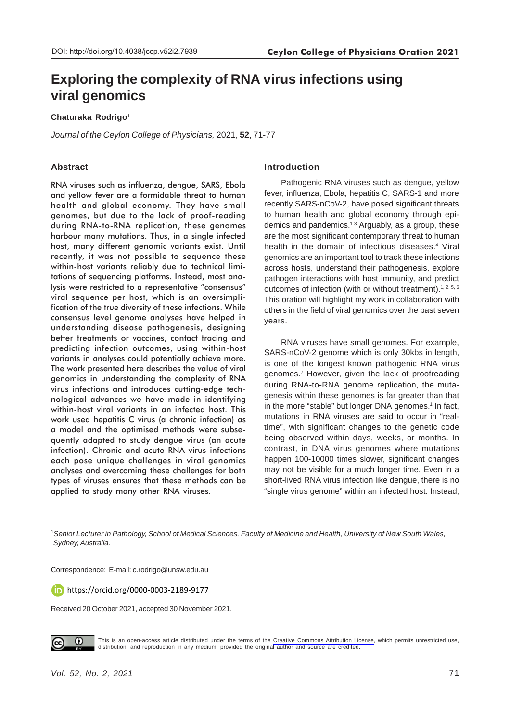# **Exploring the complexity of RNA virus infections using viral genomics**

#### **Chaturaka Rodrigo**<sup>1</sup>

*Journal of the Ceylon College of Physicians,* 2021, **52**, 71-77

# **Abstract**

RNA viruses such as influenza, dengue, SARS, Ebola and yellow fever are a formidable threat to human health and global economy. They have small genomes, but due to the lack of proof-reading during RNA-to-RNA replication, these genomes harbour many mutations. Thus, in a single infected host, many different genomic variants exist. Until recently, it was not possible to sequence these within-host variants reliably due to technical limitations of sequencing platforms. Instead, most analysis were restricted to a representative "consensus" viral sequence per host, which is an oversimplification of the true diversity of these infections. While consensus level genome analyses have helped in understanding disease pathogenesis, designing better treatments or vaccines, contact tracing and predicting infection outcomes, using within-host variants in analyses could potentially achieve more. The work presented here describes the value of viral genomics in understanding the complexity of RNA virus infections and introduces cutting-edge technological advances we have made in identifying within-host viral variants in an infected host. This work used hepatitis C virus (a chronic infection) as a model and the optimised methods were subsequently adapted to study dengue virus (an acute infection). Chronic and acute RNA virus infections each pose unique challenges in viral genomics analyses and overcoming these challenges for both types of viruses ensures that these methods can be applied to study many other RNA viruses.

# **Introduction**

Pathogenic RNA viruses such as dengue, yellow fever, influenza, Ebola, hepatitis C, SARS-1 and more recently SARS-nCoV-2, have posed significant threats to human health and global economy through epidemics and pandemics.1-3 Arguably, as a group, these are the most significant contemporary threat to human health in the domain of infectious diseases.<sup>4</sup> Viral genomics are an important tool to track these infections across hosts, understand their pathogenesis, explore pathogen interactions with host immunity, and predict outcomes of infection (with or without treatment).<sup>1, 2, 5, 6</sup> This oration will highlight my work in collaboration with others in the field of viral genomics over the past seven years.

RNA viruses have small genomes. For example, SARS-nCoV-2 genome which is only 30kbs in length, is one of the longest known pathogenic RNA virus genomes.7 However, given the lack of proofreading during RNA-to-RNA genome replication, the mutagenesis within these genomes is far greater than that in the more "stable" but longer DNA genomes.<sup>1</sup> In fact, mutations in RNA viruses are said to occur in "realtime", with significant changes to the genetic code being observed within days, weeks, or months. In contrast, in DNA virus genomes where mutations happen 100-10000 times slower, significant changes may not be visible for a much longer time. Even in a short-lived RNA virus infection like dengue, there is no "single virus genome" within an infected host. Instead,

<sup>1</sup>*Senior Lecturer in Pathology, School of Medical Sciences, Faculty of Medicine and Health, University of New South Wales, Sydney, Australia.*

Correspondence: E-mail: c.rodrigo@unsw.edu.au

https://orcid.org/0000-0003-2189-9177

Received 20 October 2021, accepted 30 November 2021.



This is an open-access article distributed under the terms of the [Creative Commons Attribution License](https://creativecommons.org/licenses/by/4.0/legalcode), which permits unrestricted use, distribution, and reproduction in any medium, provided the original author and source are credited.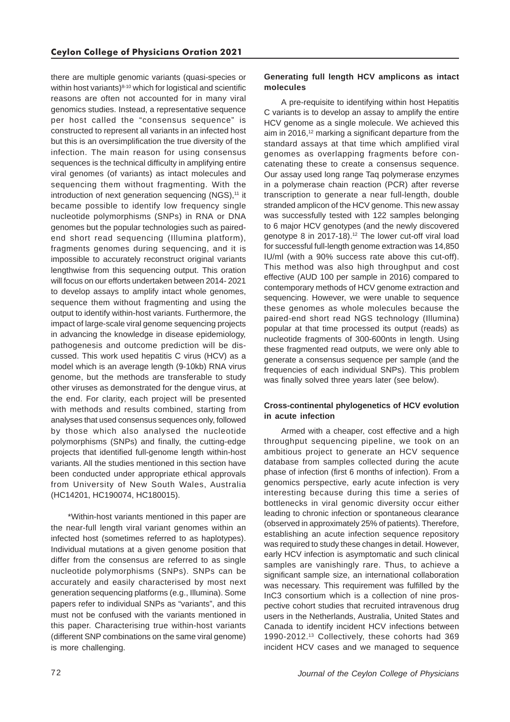there are multiple genomic variants (quasi-species or within host variants)<sup>8-10</sup> which for logistical and scientific reasons are often not accounted for in many viral genomics studies. Instead, a representative sequence per host called the "consensus sequence" is constructed to represent all variants in an infected host but this is an oversimplification the true diversity of the infection. The main reason for using consensus sequences is the technical difficulty in amplifying entire viral genomes (of variants) as intact molecules and sequencing them without fragmenting. With the introduction of next generation sequencing (NGS),<sup>11</sup> it became possible to identify low frequency single nucleotide polymorphisms (SNPs) in RNA or DNA genomes but the popular technologies such as pairedend short read sequencing (Illumina platform), fragments genomes during sequencing, and it is impossible to accurately reconstruct original variants lengthwise from this sequencing output. This oration will focus on our efforts undertaken between 2014- 2021 to develop assays to amplify intact whole genomes, sequence them without fragmenting and using the output to identify within-host variants. Furthermore, the impact of large-scale viral genome sequencing projects in advancing the knowledge in disease epidemiology, pathogenesis and outcome prediction will be discussed. This work used hepatitis C virus (HCV) as a model which is an average length (9-10kb) RNA virus genome, but the methods are transferable to study other viruses as demonstrated for the dengue virus, at the end. For clarity, each project will be presented with methods and results combined, starting from analyses that used consensus sequences only, followed by those which also analysed the nucleotide polymorphisms (SNPs) and finally, the cutting-edge projects that identified full-genome length within-host variants. All the studies mentioned in this section have been conducted under appropriate ethical approvals from University of New South Wales, Australia (HC14201, HC190074, HC180015).

\*Within-host variants mentioned in this paper are the near-full length viral variant genomes within an infected host (sometimes referred to as haplotypes). Individual mutations at a given genome position that differ from the consensus are referred to as single nucleotide polymorphisms (SNPs). SNPs can be accurately and easily characterised by most next generation sequencing platforms (e.g., Illumina). Some papers refer to individual SNPs as "variants", and this must not be confused with the variants mentioned in this paper. Characterising true within-host variants (different SNP combinations on the same viral genome) is more challenging.

## **Generating full length HCV amplicons as intact molecules**

A pre-requisite to identifying within host Hepatitis C variants is to develop an assay to amplify the entire HCV genome as a single molecule. We achieved this aim in 2016,<sup>12</sup> marking a significant departure from the standard assays at that time which amplified viral genomes as overlapping fragments before concatenating these to create a consensus sequence. Our assay used long range Taq polymerase enzymes in a polymerase chain reaction (PCR) after reverse transcription to generate a near full-length, double stranded amplicon of the HCV genome. This new assay was successfully tested with 122 samples belonging to 6 major HCV genotypes (and the newly discovered genotype 8 in 2017-18).<sup>12</sup> The lower cut-off viral load for successful full-length genome extraction was 14,850 IU/ml (with a 90% success rate above this cut-off). This method was also high throughput and cost effective (AUD 100 per sample in 2016) compared to contemporary methods of HCV genome extraction and sequencing. However, we were unable to sequence these genomes as whole molecules because the paired-end short read NGS technology (Illumina) popular at that time processed its output (reads) as nucleotide fragments of 300-600nts in length. Using these fragmented read outputs, we were only able to generate a consensus sequence per sample (and the frequencies of each individual SNPs). This problem was finally solved three years later (see below).

## **Cross-continental phylogenetics of HCV evolution in acute infection**

Armed with a cheaper, cost effective and a high throughput sequencing pipeline, we took on an ambitious project to generate an HCV sequence database from samples collected during the acute phase of infection (first 6 months of infection). From a genomics perspective, early acute infection is very interesting because during this time a series of bottlenecks in viral genomic diversity occur either leading to chronic infection or spontaneous clearance (observed in approximately 25% of patients). Therefore, establishing an acute infection sequence repository was required to study these changes in detail. However, early HCV infection is asymptomatic and such clinical samples are vanishingly rare. Thus, to achieve a significant sample size, an international collaboration was necessary. This requirement was fulfilled by the InC3 consortium which is a collection of nine prospective cohort studies that recruited intravenous drug users in the Netherlands, Australia, United States and Canada to identify incident HCV infections between 1990-2012.13 Collectively, these cohorts had 369 incident HCV cases and we managed to sequence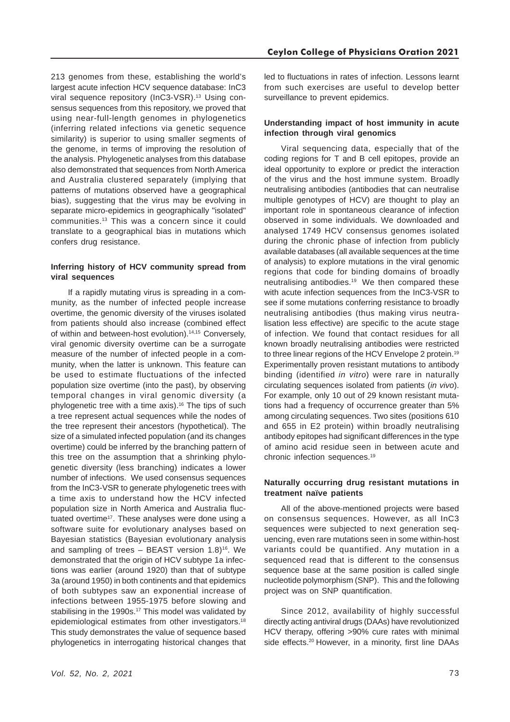213 genomes from these, establishing the world's largest acute infection HCV sequence database: InC3 viral sequence repository (InC3-VSR).<sup>13</sup> Using consensus sequences from this repository, we proved that using near-full-length genomes in phylogenetics (inferring related infections via genetic sequence similarity) is superior to using smaller segments of the genome, in terms of improving the resolution of the analysis. Phylogenetic analyses from this database also demonstrated that sequences from North America and Australia clustered separately (implying that patterns of mutations observed have a geographical bias), suggesting that the virus may be evolving in separate micro-epidemics in geographically "isolated" communities.13 This was a concern since it could translate to a geographical bias in mutations which confers drug resistance.

## **Inferring history of HCV community spread from viral sequences**

If a rapidly mutating virus is spreading in a community, as the number of infected people increase overtime, the genomic diversity of the viruses isolated from patients should also increase (combined effect of within and between-host evolution).14,15 Conversely, viral genomic diversity overtime can be a surrogate measure of the number of infected people in a community, when the latter is unknown. This feature can be used to estimate fluctuations of the infected population size overtime (into the past), by observing temporal changes in viral genomic diversity (a phylogenetic tree with a time axis).<sup>16</sup> The tips of such a tree represent actual sequences while the nodes of the tree represent their ancestors (hypothetical). The size of a simulated infected population (and its changes overtime) could be inferred by the branching pattern of this tree on the assumption that a shrinking phylogenetic diversity (less branching) indicates a lower number of infections. We used consensus sequences from the InC3-VSR to generate phylogenetic trees with a time axis to understand how the HCV infected population size in North America and Australia fluctuated overtime<sup>17</sup>. These analyses were done using a software suite for evolutionary analyses based on Bayesian statistics (Bayesian evolutionary analysis and sampling of trees  $-$  BEAST version 1.8)<sup>16</sup>. We demonstrated that the origin of HCV subtype 1a infections was earlier (around 1920) than that of subtype 3a (around 1950) in both continents and that epidemics of both subtypes saw an exponential increase of infections between 1955-1975 before slowing and stabilising in the 1990s.<sup>17</sup> This model was validated by epidemiological estimates from other investigators.18 This study demonstrates the value of sequence based phylogenetics in interrogating historical changes that

led to fluctuations in rates of infection. Lessons learnt from such exercises are useful to develop better surveillance to prevent epidemics.

# **Understanding impact of host immunity in acute infection through viral genomics**

Viral sequencing data, especially that of the coding regions for T and B cell epitopes, provide an ideal opportunity to explore or predict the interaction of the virus and the host immune system. Broadly neutralising antibodies (antibodies that can neutralise multiple genotypes of HCV) are thought to play an important role in spontaneous clearance of infection observed in some individuals. We downloaded and analysed 1749 HCV consensus genomes isolated during the chronic phase of infection from publicly available databases (all available sequences at the time of analysis) to explore mutations in the viral genomic regions that code for binding domains of broadly neutralising antibodies.19 We then compared these with acute infection sequences from the InC3-VSR to see if some mutations conferring resistance to broadly neutralising antibodies (thus making virus neutralisation less effective) are specific to the acute stage of infection. We found that contact residues for all known broadly neutralising antibodies were restricted to three linear regions of the HCV Envelope 2 protein.<sup>19</sup> Experimentally proven resistant mutations to antibody binding (identified *in vitro*) were rare in naturally circulating sequences isolated from patients (*in vivo*). For example, only 10 out of 29 known resistant mutations had a frequency of occurrence greater than 5% among circulating sequences. Two sites (positions 610 and 655 in E2 protein) within broadly neutralising antibody epitopes had significant differences in the type of amino acid residue seen in between acute and chronic infection sequences.19

#### **Naturally occurring drug resistant mutations in treatment naïve patients**

All of the above-mentioned projects were based on consensus sequences. However, as all InC3 sequences were subjected to next generation sequencing, even rare mutations seen in some within-host variants could be quantified. Any mutation in a sequenced read that is different to the consensus sequence base at the same position is called single nucleotide polymorphism (SNP). This and the following project was on SNP quantification.

Since 2012, availability of highly successful directly acting antiviral drugs (DAAs) have revolutionized HCV therapy, offering >90% cure rates with minimal side effects.<sup>20</sup> However, in a minority, first line DAAs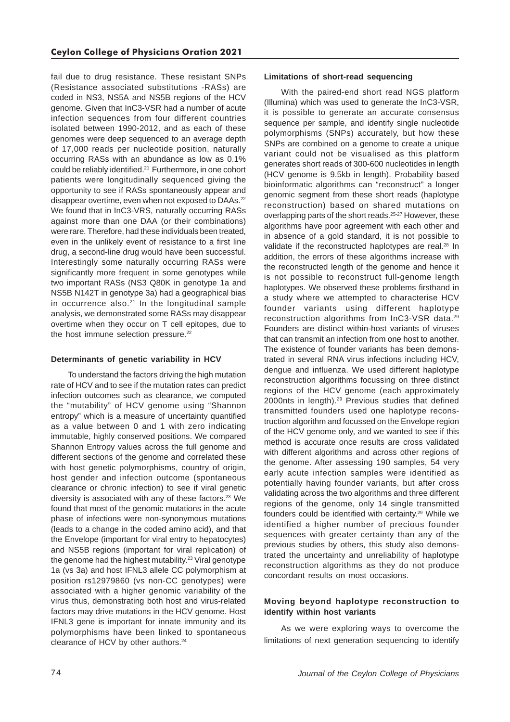fail due to drug resistance. These resistant SNPs (Resistance associated substitutions -RASs) are coded in NS3, NS5A and NS5B regions of the HCV genome. Given that InC3-VSR had a number of acute infection sequences from four different countries isolated between 1990-2012, and as each of these genomes were deep sequenced to an average depth of 17,000 reads per nucleotide position, naturally occurring RASs with an abundance as low as 0.1% could be reliably identified.21 Furthermore, in one cohort patients were longitudinally sequenced giving the opportunity to see if RASs spontaneously appear and disappear overtime, even when not exposed to DAAs.<sup>22</sup> We found that in InC3-VRS, naturally occurring RASs against more than one DAA (or their combinations) were rare. Therefore, had these individuals been treated, even in the unlikely event of resistance to a first line drug, a second-line drug would have been successful. Interestingly some naturally occurring RASs were significantly more frequent in some genotypes while two important RASs (NS3 Q80K in genotype 1a and NS5B N142T in genotype 3a) had a geographical bias in occurrence also. $21$  In the longitudinal sample analysis, we demonstrated some RASs may disappear overtime when they occur on T cell epitopes, due to the host immune selection pressure. $22$ 

## **Determinants of genetic variability in HCV**

To understand the factors driving the high mutation rate of HCV and to see if the mutation rates can predict infection outcomes such as clearance, we computed the "mutability" of HCV genome using "Shannon entropy" which is a measure of uncertainty quantified as a value between 0 and 1 with zero indicating immutable, highly conserved positions. We compared Shannon Entropy values across the full genome and different sections of the genome and correlated these with host genetic polymorphisms, country of origin, host gender and infection outcome (spontaneous clearance or chronic infection) to see if viral genetic diversity is associated with any of these factors.<sup>23</sup> We found that most of the genomic mutations in the acute phase of infections were non-synonymous mutations (leads to a change in the coded amino acid), and that the Envelope (important for viral entry to hepatocytes) and NS5B regions (important for viral replication) of the genome had the highest mutability.<sup>23</sup> Viral genotype 1a (vs 3a) and host IFNL3 allele CC polymorphism at position rs12979860 (vs non-CC genotypes) were associated with a higher genomic variability of the virus thus, demonstrating both host and virus-related factors may drive mutations in the HCV genome. Host IFNL3 gene is important for innate immunity and its polymorphisms have been linked to spontaneous clearance of HCV by other authors.<sup>24</sup>

## **Limitations of short-read sequencing**

With the paired-end short read NGS platform (Illumina) which was used to generate the InC3-VSR, it is possible to generate an accurate consensus sequence per sample, and identify single nucleotide polymorphisms (SNPs) accurately, but how these SNPs are combined on a genome to create a unique variant could not be visualised as this platform generates short reads of 300-600 nucleotides in length (HCV genome is 9.5kb in length). Probability based bioinformatic algorithms can "reconstruct" a longer genomic segment from these short reads (haplotype reconstruction) based on shared mutations on overlapping parts of the short reads.25-27 However, these algorithms have poor agreement with each other and in absence of a gold standard, it is not possible to validate if the reconstructed haplotypes are real.<sup>28</sup> In addition, the errors of these algorithms increase with the reconstructed length of the genome and hence it is not possible to reconstruct full-genome length haplotypes. We observed these problems firsthand in a study where we attempted to characterise HCV founder variants using different haplotype reconstruction algorithms from InC3-VSR data.29 Founders are distinct within-host variants of viruses that can transmit an infection from one host to another. The existence of founder variants has been demonstrated in several RNA virus infections including HCV, dengue and influenza. We used different haplotype reconstruction algorithms focussing on three distinct regions of the HCV genome (each approximately 2000nts in length).29 Previous studies that defined transmitted founders used one haplotype reconstruction algorithm and focussed on the Envelope region of the HCV genome only, and we wanted to see if this method is accurate once results are cross validated with different algorithms and across other regions of the genome. After assessing 190 samples, 54 very early acute infection samples were identified as potentially having founder variants, but after cross validating across the two algorithms and three different regions of the genome, only 14 single transmitted founders could be identified with certainty.29 While we identified a higher number of precious founder sequences with greater certainty than any of the previous studies by others, this study also demonstrated the uncertainty and unreliability of haplotype reconstruction algorithms as they do not produce concordant results on most occasions.

#### **Moving beyond haplotype reconstruction to identify within host variants**

As we were exploring ways to overcome the limitations of next generation sequencing to identify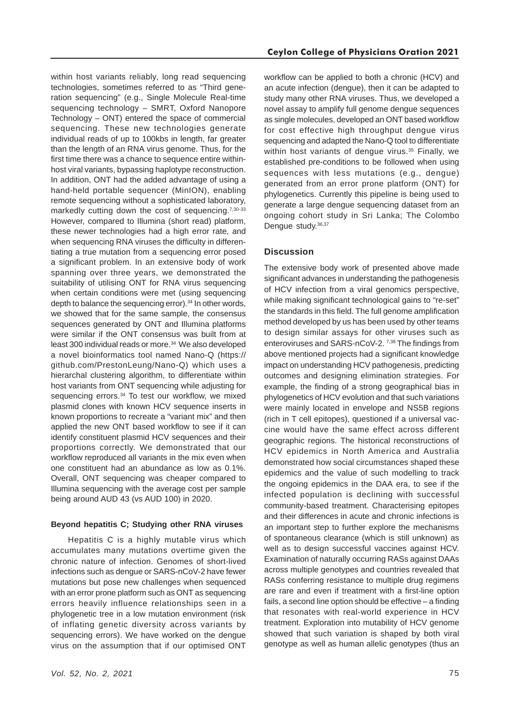within host variants reliably, long read sequencing technologies, sometimes referred to as "Third generation sequencing" (e.g., Single Molecule Real-time sequencing technology – SMRT, Oxford Nanopore Technology – ONT) entered the space of commercial sequencing. These new technologies generate individual reads of up to 100kbs in length, far greater than the length of an RNA virus genome. Thus, for the first time there was a chance to sequence entire withinhost viral variants, bypassing haplotype reconstruction. In addition, ONT had the added advantage of using a hand-held portable sequencer (MinION), enabling remote sequencing without a sophisticated laboratory, markedly cutting down the cost of sequencing.<sup>7,30-33</sup> However, compared to Illumina (short read) platform, these newer technologies had a high error rate, and when sequencing RNA viruses the difficulty in differentiating a true mutation from a sequencing error posed a significant problem. In an extensive body of work spanning over three years, we demonstrated the suitability of utilising ONT for RNA virus sequencing when certain conditions were met (using sequencing depth to balance the sequencing error).<sup>34</sup> In other words, we showed that for the same sample, the consensus sequences generated by ONT and Illumina platforms were similar if the ONT consensus was built from at least 300 individual reads or more.34 We also developed a novel bioinformatics tool named Nano-Q (https:// github.com/PrestonLeung/Nano-Q) which uses a hierarchal clustering algorithm, to differentiate within host variants from ONT sequencing while adjusting for sequencing errors.<sup>34</sup> To test our workflow, we mixed plasmid clones with known HCV sequence inserts in known proportions to recreate a "variant mix" and then applied the new ONT based workflow to see if it can identify constituent plasmid HCV sequences and their proportions correctly. We demonstrated that our workflow reproduced all variants in the mix even when one constituent had an abundance as low as 0.1%. Overall, ONT sequencing was cheaper compared to Illumina sequencing with the average cost per sample being around AUD 43 (vs AUD 100) in 2020.

#### **Beyond hepatitis C; Studying other RNA viruses**

Hepatitis C is a highly mutable virus which accumulates many mutations overtime given the chronic nature of infection. Genomes of short-lived infections such as dengue or SARS-nCoV-2 have fewer mutations but pose new challenges when sequenced with an error prone platform such as ONT as sequencing errors heavily influence relationships seen in a phylogenetic tree in a low mutation environment (risk of inflating genetic diversity across variants by sequencing errors). We have worked on the dengue virus on the assumption that if our optimised ONT

workflow can be applied to both a chronic (HCV) and an acute infection (dengue), then it can be adapted to study many other RNA viruses. Thus, we developed a novel assay to amplify full genome dengue sequences as single molecules, developed an ONT based workflow for cost effective high throughput dengue virus sequencing and adapted the Nano-Q tool to differentiate within host variants of dengue virus.<sup>35</sup> Finally, we established pre-conditions to be followed when using sequences with less mutations (e.g., dengue) generated from an error prone platform (ONT) for phylogenetics. Currently this pipeline is being used to generate a large dengue sequencing dataset from an ongoing cohort study in Sri Lanka; The Colombo Dengue study. 36,37

## **Discussion**

The extensive body work of presented above made significant advances in understanding the pathogenesis of HCV infection from a viral genomics perspective, while making significant technological gains to "re-set" the standards in this field. The full genome amplification method developed by us has been used by other teams to design similar assays for other viruses such as enteroviruses and SARS-nCoV-2. 7,38 The findings from above mentioned projects had a significant knowledge impact on understanding HCV pathogenesis, predicting outcomes and designing elimination strategies. For example, the finding of a strong geographical bias in phylogenetics of HCV evolution and that such variations were mainly located in envelope and NS5B regions (rich in T cell epitopes), questioned if a universal vaccine would have the same effect across different geographic regions. The historical reconstructions of HCV epidemics in North America and Australia demonstrated how social circumstances shaped these epidemics and the value of such modelling to track the ongoing epidemics in the DAA era, to see if the infected population is declining with successful community-based treatment. Characterising epitopes and their differences in acute and chronic infections is an important step to further explore the mechanisms of spontaneous clearance (which is still unknown) as well as to design successful vaccines against HCV. Examination of naturally occurring RASs against DAAs across multiple genotypes and countries revealed that RASs conferring resistance to multiple drug regimens are rare and even if treatment with a first-line option fails, a second line option should be effective – a finding that resonates with real-world experience in HCV treatment. Exploration into mutability of HCV genome showed that such variation is shaped by both viral genotype as well as human allelic genotypes (thus an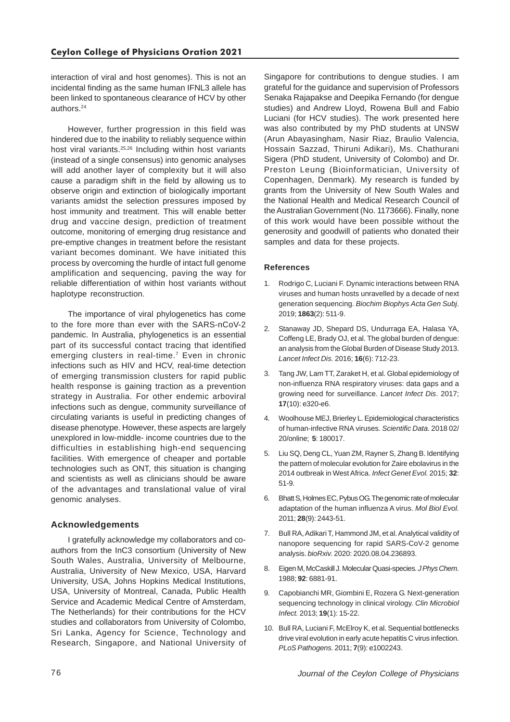interaction of viral and host genomes). This is not an incidental finding as the same human IFNL3 allele has been linked to spontaneous clearance of HCV by other authors.24

However, further progression in this field was hindered due to the inability to reliably sequence within host viral variants.<sup>25,26</sup> Including within host variants (instead of a single consensus) into genomic analyses will add another layer of complexity but it will also cause a paradigm shift in the field by allowing us to observe origin and extinction of biologically important variants amidst the selection pressures imposed by host immunity and treatment. This will enable better drug and vaccine design, prediction of treatment outcome, monitoring of emerging drug resistance and pre-emptive changes in treatment before the resistant variant becomes dominant. We have initiated this process by overcoming the hurdle of intact full genome amplification and sequencing, paving the way for reliable differentiation of within host variants without haplotype reconstruction.

The importance of viral phylogenetics has come to the fore more than ever with the SARS-nCoV-2 pandemic. In Australia, phylogenetics is an essential part of its successful contact tracing that identified emerging clusters in real-time.<sup>7</sup> Even in chronic infections such as HIV and HCV, real-time detection of emerging transmission clusters for rapid public health response is gaining traction as a prevention strategy in Australia. For other endemic arboviral infections such as dengue, community surveillance of circulating variants is useful in predicting changes of disease phenotype. However, these aspects are largely unexplored in low-middle- income countries due to the difficulties in establishing high-end sequencing facilities. With emergence of cheaper and portable technologies such as ONT, this situation is changing and scientists as well as clinicians should be aware of the advantages and translational value of viral genomic analyses.

#### **Acknowledgements**

I gratefully acknowledge my collaborators and coauthors from the InC3 consortium (University of New South Wales, Australia, University of Melbourne, Australia, University of New Mexico, USA, Harvard University, USA, Johns Hopkins Medical Institutions, USA, University of Montreal, Canada, Public Health Service and Academic Medical Centre of Amsterdam, The Netherlands) for their contributions for the HCV studies and collaborators from University of Colombo, Sri Lanka, Agency for Science, Technology and Research, Singapore, and National University of

Singapore for contributions to dengue studies. I am grateful for the guidance and supervision of Professors Senaka Rajapakse and Deepika Fernando (for dengue studies) and Andrew Lloyd, Rowena Bull and Fabio Luciani (for HCV studies). The work presented here was also contributed by my PhD students at UNSW (Arun Abayasingham, Nasir Riaz, Braulio Valencia, Hossain Sazzad, Thiruni Adikari), Ms. Chathurani Sigera (PhD student, University of Colombo) and Dr. Preston Leung (Bioinformatician, University of Copenhagen, Denmark). My research is funded by grants from the University of New South Wales and the National Health and Medical Research Council of the Australian Government (No. 1173666). Finally, none of this work would have been possible without the generosity and goodwill of patients who donated their samples and data for these projects.

#### **References**

- 1. Rodrigo C, Luciani F. Dynamic interactions between RNA viruses and human hosts unravelled by a decade of next generation sequencing. *Biochim Biophys Acta Gen Subj*. 2019; **1863**(2): 511-9.
- 2. Stanaway JD, Shepard DS, Undurraga EA, Halasa YA, Coffeng LE, Brady OJ, et al. The global burden of dengue: an analysis from the Global Burden of Disease Study 2013. *Lancet Infect Dis.* 2016; **16**(6): 712-23.
- 3. Tang JW, Lam TT, Zaraket H, et al. Global epidemiology of non-influenza RNA respiratory viruses: data gaps and a growing need for surveillance. *Lancet Infect Dis*. 2017; **17**(10): e320-e6.
- 4. Woolhouse MEJ, Brierley L. Epidemiological characteristics of human-infective RNA viruses*. Scientific Data.* 2018 02/ 20/online; **5**: 180017.
- 5. Liu SQ, Deng CL, Yuan ZM, Rayner S, Zhang B. Identifying the pattern of molecular evolution for Zaire ebolavirus in the 2014 outbreak in West Africa. *Infect Genet Evol.* 2015; **32**: 51-9.
- 6. Bhatt S, Holmes EC, Pybus OG. The genomic rate of molecular adaptation of the human influenza A virus. *Mol Biol Evol.* 2011; **28**(9): 2443-51.
- 7. Bull RA, Adikari T, Hammond JM, et al. Analytical validity of nanopore sequencing for rapid SARS-CoV-2 genome analysis. *bioRxiv.* 2020: 2020.08.04.236893.
- 8. Eigen M, McCaskill J. Molecular Quasi-species. *J Phys Chem.* 1988; **92**: 6881-91.
- 9. Capobianchi MR, Giombini E, Rozera G. Next-generation sequencing technology in clinical virology. *Clin Microbiol Infect.* 2013; **19**(1): 15-22.
- 10. Bull RA, Luciani F, McElroy K, et al. Sequential bottlenecks drive viral evolution in early acute hepatitis C virus infection. *PLoS Pathogens.* 2011; **7**(9): e1002243.